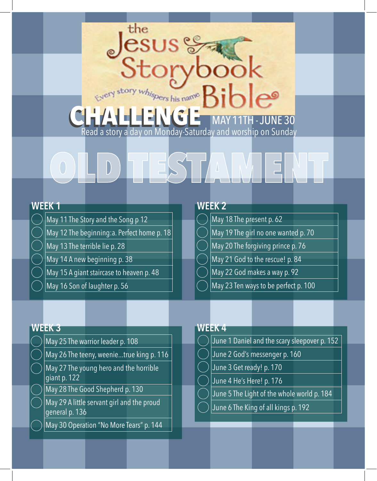## CHALLENGE **- JUNE 30** Read a story a day on Monday-Saturday and worship on Sunday

the

**SUS** 

# OLD TESTAMENT

- May 11 The Story and the Song p 12
- May 12 The beginning:a. Perfect home p. 18
- May 13 The terrible lie p. 28
- May 14 A new beginning p. 38
- May 15 A giant staircase to heaven p. 48
- May 16 Son of laughter p. 56

## **WEEK 1 WEEK 2**

- May 18 The present p. 62
- May 19 The girl no one wanted p. 70
- May 20 The forgiving prince p. 76
- May 21 God to the rescue! p. 84
- May 22 God makes a way p. 92
- May 23 Ten ways to be perfect p. 100

- May 25 The warrior leader p. 108
- May 26 The teeny, weenie...true king p. 116
- May 27 The young hero and the horrible giant p. 122
- May 28 The Good Shepherd p. 130
- May 29 A little servant girl and the proud general p. 136
- May 30 Operation "No More Tears" p. 144

## **WEEK 3 WEEK 4**

- June 1 Daniel and the scary sleepover p. 152
- June 2 God's messenger p. 160
- June 3 Get ready! p. 170
- June 4 He's Here! p. 176
- June 5 The Light of the whole world p. 184
- June 6 The King of all kings p. 192